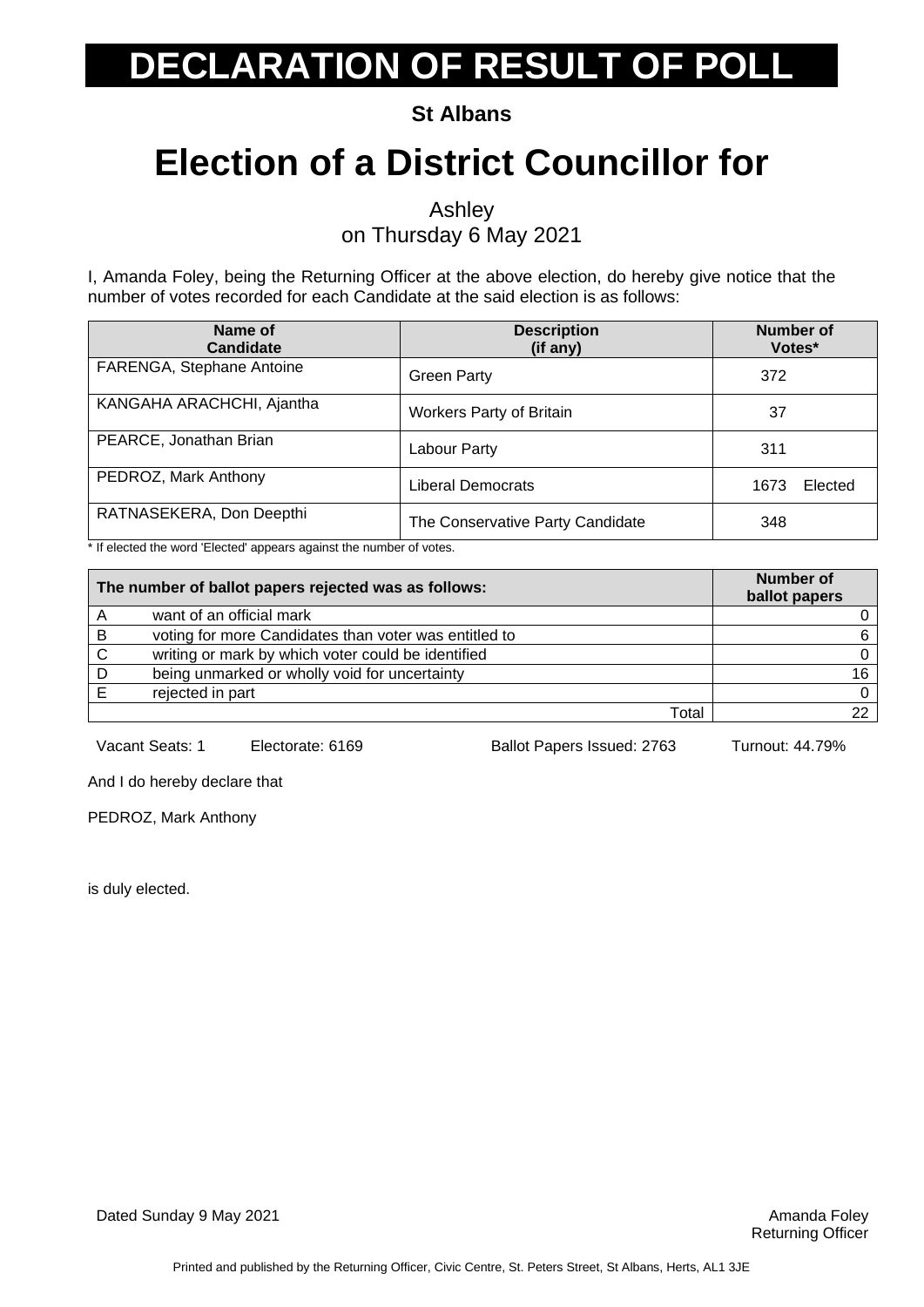**St Albans**

## **Election of a District Councillor for**

Ashley

on Thursday 6 May 2021

I, Amanda Foley, being the Returning Officer at the above election, do hereby give notice that the number of votes recorded for each Candidate at the said election is as follows:

| Name of<br><b>Candidate</b> | <b>Description</b><br>(if any)   | <b>Number of</b><br>Votes* |
|-----------------------------|----------------------------------|----------------------------|
| FARENGA, Stephane Antoine   | <b>Green Party</b>               | 372                        |
| KANGAHA ARACHCHI, Ajantha   | <b>Workers Party of Britain</b>  | 37                         |
| PEARCE, Jonathan Brian      | Labour Party                     | 311                        |
| PEDROZ, Mark Anthony        | Liberal Democrats                | Elected<br>1673            |
| RATNASEKERA, Don Deepthi    | The Conservative Party Candidate | 348                        |

\* If elected the word 'Elected' appears against the number of votes.

| The number of ballot papers rejected was as follows: |                                                       | Number of<br>ballot papers |
|------------------------------------------------------|-------------------------------------------------------|----------------------------|
|                                                      | want of an official mark                              |                            |
| B                                                    | voting for more Candidates than voter was entitled to | 6                          |
| C                                                    | writing or mark by which voter could be identified    |                            |
|                                                      | being unmarked or wholly void for uncertainty         | 16.                        |
|                                                      | rejected in part                                      |                            |
|                                                      | Total                                                 | າາ                         |

Vacant Seats: 1 Electorate: 6169 Ballot Papers Issued: 2763 Turnout: 44.79%

And I do hereby declare that

PEDROZ, Mark Anthony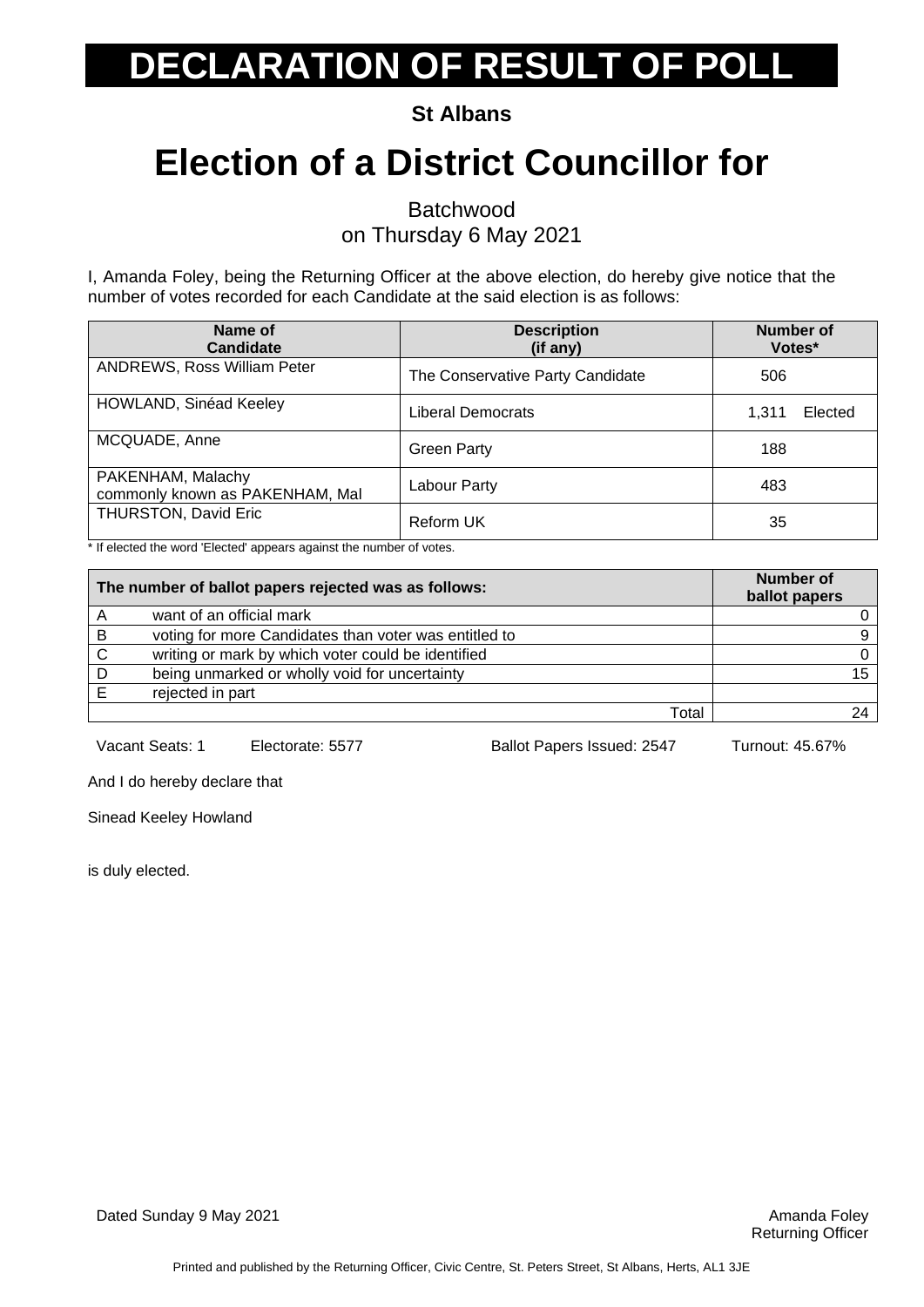**St Albans**

## **Election of a District Councillor for**

Batchwood

on Thursday 6 May 2021

I, Amanda Foley, being the Returning Officer at the above election, do hereby give notice that the number of votes recorded for each Candidate at the said election is as follows:

| Name of<br><b>Candidate</b>                          | <b>Description</b><br>(if any)   | Number of<br>Votes* |
|------------------------------------------------------|----------------------------------|---------------------|
| <b>ANDREWS, Ross William Peter</b>                   | The Conservative Party Candidate | 506                 |
| HOWLAND, Sinéad Keeley                               | Liberal Democrats                | Elected<br>1,311    |
| MCQUADE, Anne                                        | <b>Green Party</b>               | 188                 |
| PAKENHAM, Malachy<br>commonly known as PAKENHAM, Mal | Labour Party                     | 483                 |
| THURSTON, David Eric                                 | Reform UK                        | 35                  |

\* If elected the word 'Elected' appears against the number of votes.

|   | The number of ballot papers rejected was as follows:  | Number of<br>ballot papers |
|---|-------------------------------------------------------|----------------------------|
|   | want of an official mark                              |                            |
| B | voting for more Candidates than voter was entitled to |                            |
| C | writing or mark by which voter could be identified    |                            |
|   | being unmarked or wholly void for uncertainty         | 15                         |
|   | rejected in part                                      |                            |
|   | Total                                                 |                            |

Vacant Seats: 1 Electorate: 5577 Ballot Papers Issued: 2547 Turnout: 45.67%

And I do hereby declare that

Sinead Keeley Howland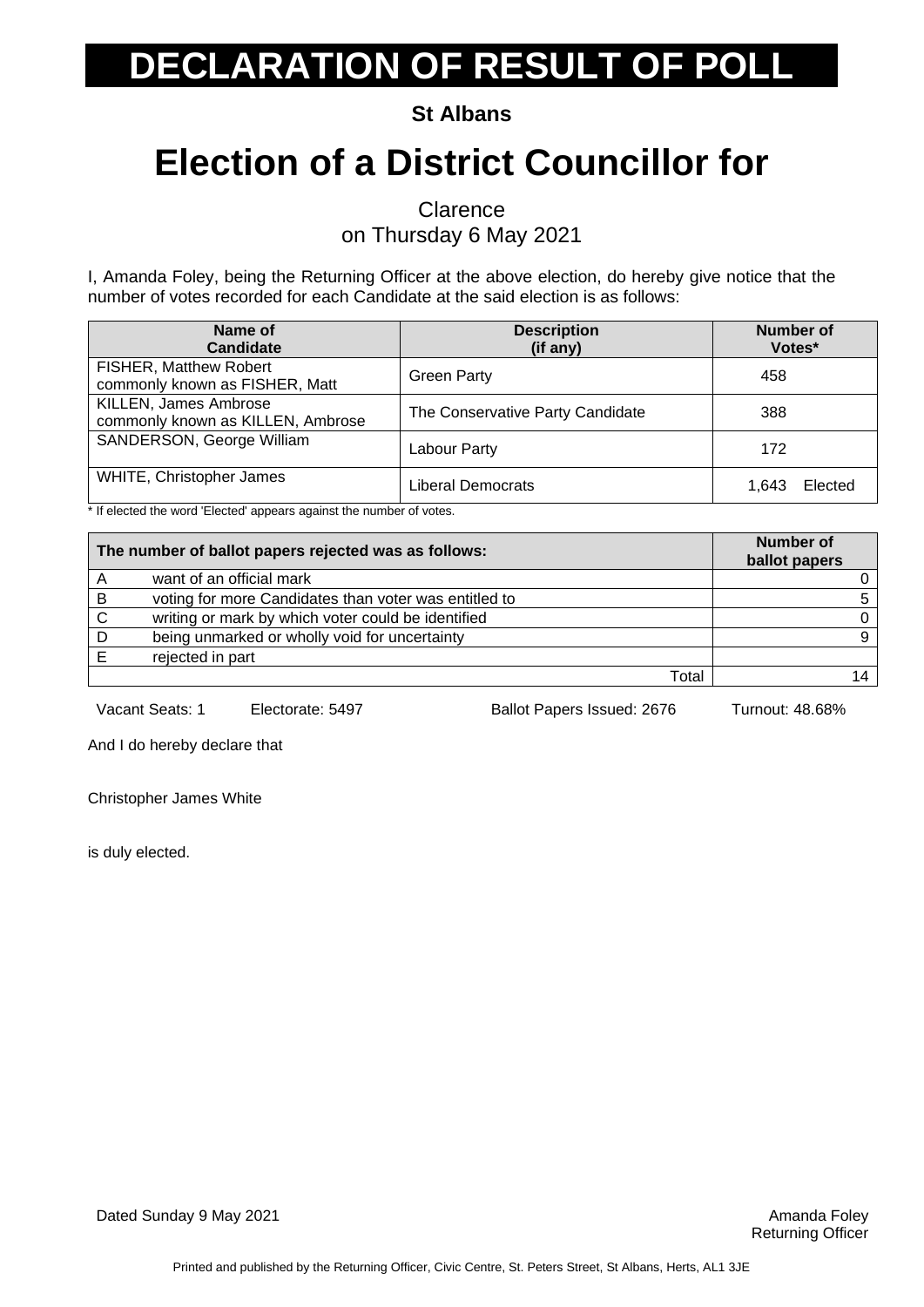**St Albans**

## **Election of a District Councillor for**

**Clarence** 

on Thursday 6 May 2021

I, Amanda Foley, being the Returning Officer at the above election, do hereby give notice that the number of votes recorded for each Candidate at the said election is as follows:

| Name of<br>Candidate                                       | <b>Description</b><br>(if any)   | <b>Number of</b><br>Votes* |
|------------------------------------------------------------|----------------------------------|----------------------------|
| FISHER, Matthew Robert<br>commonly known as FISHER, Matt   | <b>Green Party</b>               | 458                        |
| KILLEN, James Ambrose<br>commonly known as KILLEN, Ambrose | The Conservative Party Candidate | 388                        |
| SANDERSON, George William                                  | Labour Party                     | 172                        |
| <b>WHITE, Christopher James</b>                            | Liberal Democrats                | Elected<br>1.643           |

\* If elected the word 'Elected' appears against the number of votes.

| The number of ballot papers rejected was as follows: |                                                       | <b>Number of</b><br>ballot papers |
|------------------------------------------------------|-------------------------------------------------------|-----------------------------------|
|                                                      | want of an official mark                              |                                   |
| B                                                    | voting for more Candidates than voter was entitled to |                                   |
| C                                                    | writing or mark by which voter could be identified    |                                   |
|                                                      | being unmarked or wholly void for uncertainty         |                                   |
|                                                      | rejected in part                                      |                                   |
|                                                      | Total                                                 |                                   |

Vacant Seats: 1 Electorate: 5497 Ballot Papers Issued: 2676 Turnout: 48.68%

And I do hereby declare that

Christopher James White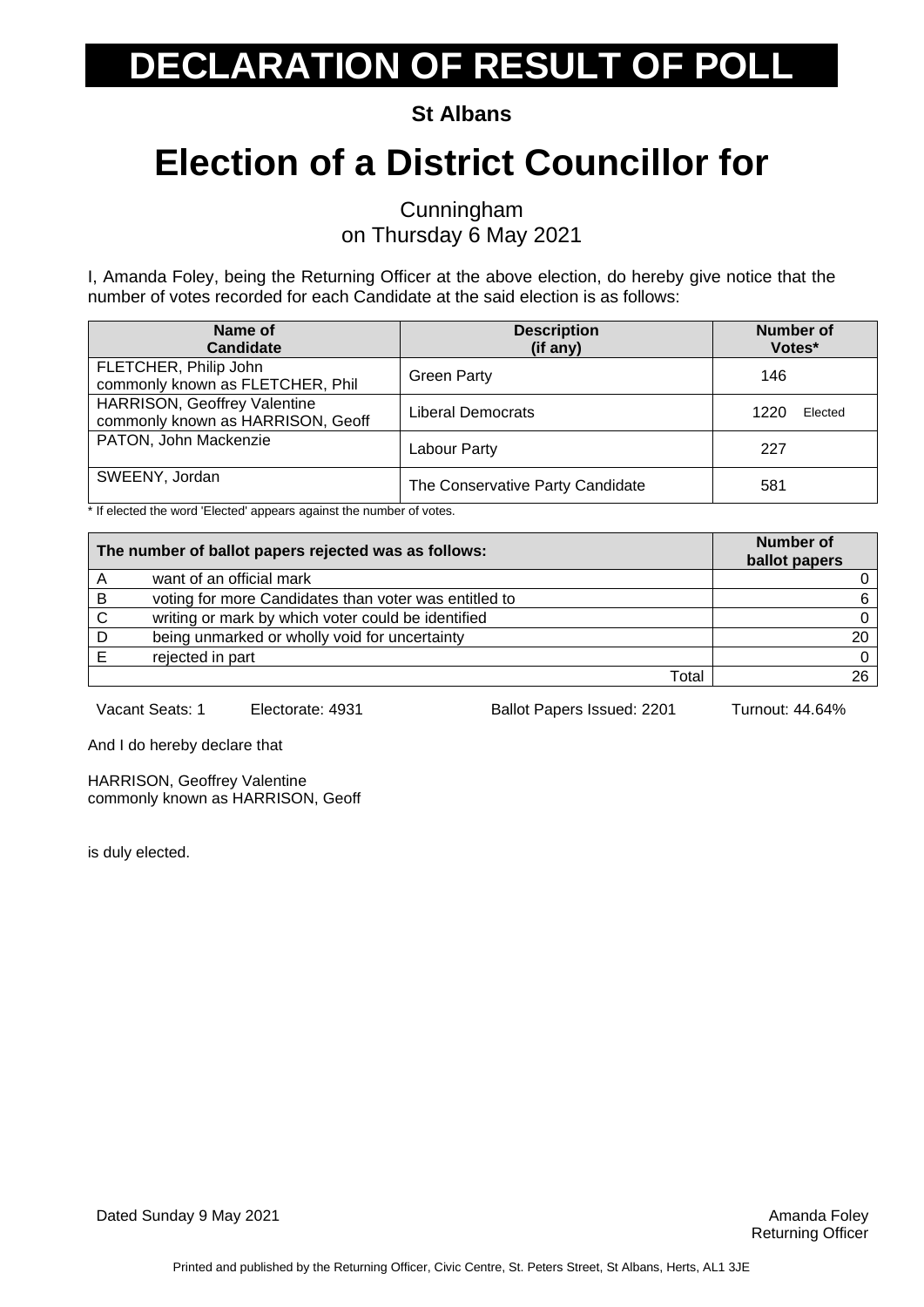**St Albans**

## **Election of a District Councillor for**

Cunningham on Thursday 6 May 2021

I, Amanda Foley, being the Returning Officer at the above election, do hereby give notice that the number of votes recorded for each Candidate at the said election is as follows:

| Name of<br>Candidate                                                     | <b>Description</b><br>(if any)   | <b>Number of</b><br>Votes* |
|--------------------------------------------------------------------------|----------------------------------|----------------------------|
| FLETCHER, Philip John<br>commonly known as FLETCHER, Phil                | <b>Green Party</b>               | 146                        |
| <b>HARRISON, Geoffrey Valentine</b><br>commonly known as HARRISON, Geoff | Liberal Democrats                | 1220<br>Elected            |
| PATON, John Mackenzie                                                    | Labour Party                     | 227                        |
| SWEENY, Jordan                                                           | The Conservative Party Candidate | 581                        |

\* If elected the word 'Elected' appears against the number of votes.

| The number of ballot papers rejected was as follows: |                                                       | <b>Number of</b><br>ballot papers |
|------------------------------------------------------|-------------------------------------------------------|-----------------------------------|
|                                                      | want of an official mark                              |                                   |
| B                                                    | voting for more Candidates than voter was entitled to | 6.                                |
| C                                                    | writing or mark by which voter could be identified    | 0                                 |
|                                                      | being unmarked or wholly void for uncertainty         | 20                                |
|                                                      | rejected in part                                      | 0                                 |
|                                                      | Total                                                 | 26                                |

Vacant Seats: 1 Electorate: 4931 Ballot Papers Issued: 2201 Turnout: 44.64%

And I do hereby declare that

HARRISON, Geoffrey Valentine commonly known as HARRISON, Geoff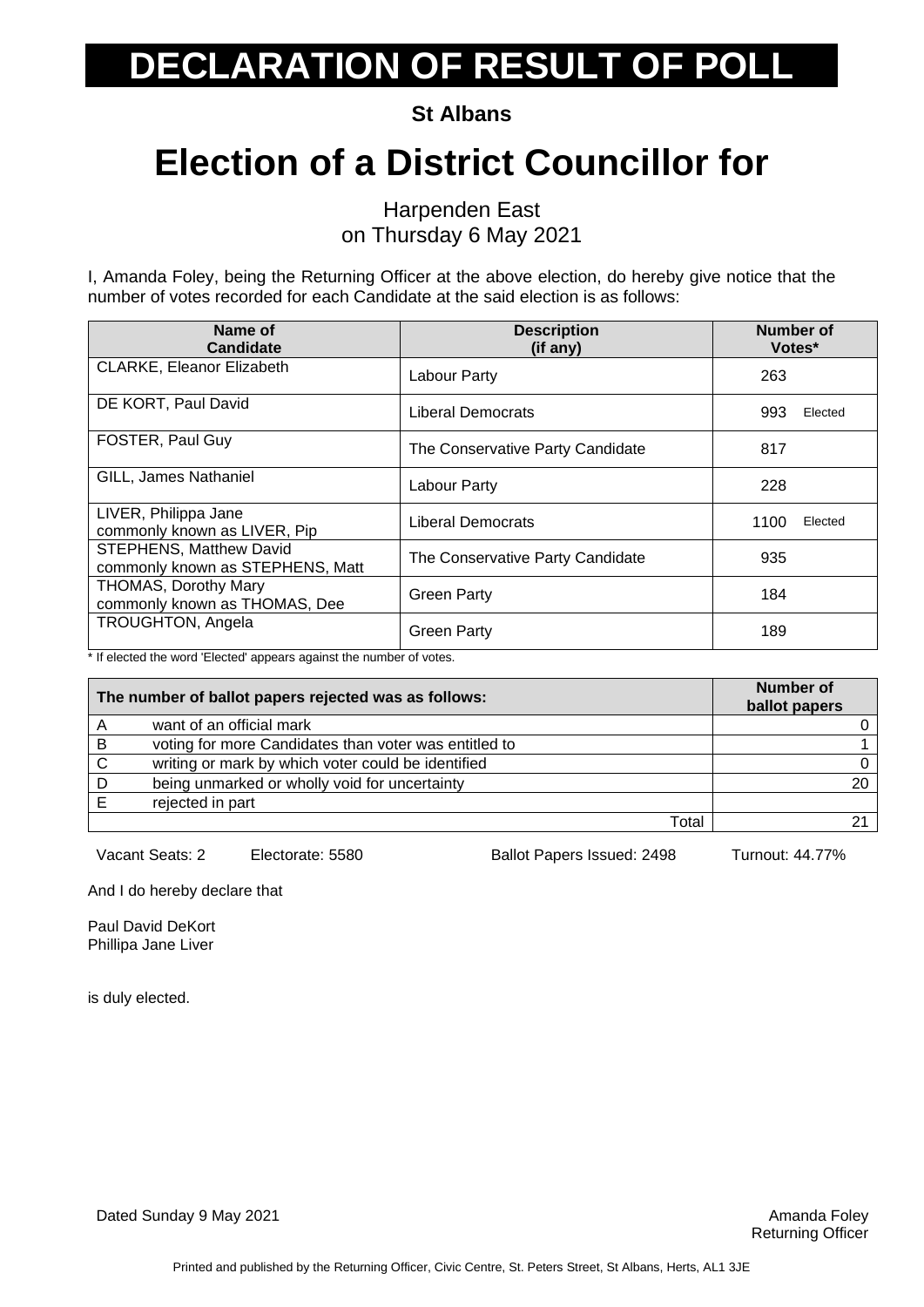**St Albans**

## **Election of a District Councillor for**

Harpenden East on Thursday 6 May 2021

I, Amanda Foley, being the Returning Officer at the above election, do hereby give notice that the number of votes recorded for each Candidate at the said election is as follows:

| Name of<br><b>Candidate</b>                                        | <b>Description</b><br>(if any)   | Number of<br>Votes* |
|--------------------------------------------------------------------|----------------------------------|---------------------|
| <b>CLARKE, Eleanor Elizabeth</b>                                   | Labour Party                     | 263                 |
| DE KORT, Paul David                                                | <b>Liberal Democrats</b>         | 993<br>Elected      |
| <b>FOSTER, Paul Guy</b>                                            | The Conservative Party Candidate | 817                 |
| GILL, James Nathaniel                                              | Labour Party                     | 228                 |
| LIVER, Philippa Jane<br>commonly known as LIVER, Pip               | Liberal Democrats                | 1100<br>Elected     |
| <b>STEPHENS, Matthew David</b><br>commonly known as STEPHENS, Matt | The Conservative Party Candidate | 935                 |
| THOMAS, Dorothy Mary<br>commonly known as THOMAS, Dee              | <b>Green Party</b>               | 184                 |
| <b>TROUGHTON, Angela</b>                                           | <b>Green Party</b>               | 189                 |

\* If elected the word 'Elected' appears against the number of votes.

| The number of ballot papers rejected was as follows: |                                                       | <b>Number of</b><br>ballot papers |
|------------------------------------------------------|-------------------------------------------------------|-----------------------------------|
| A                                                    | want of an official mark                              |                                   |
| В                                                    | voting for more Candidates than voter was entitled to |                                   |
| C                                                    | writing or mark by which voter could be identified    |                                   |
|                                                      | being unmarked or wholly void for uncertainty         | 20                                |
|                                                      | rejected in part                                      |                                   |
|                                                      | Total                                                 |                                   |

Vacant Seats: 2 Electorate: 5580 Ballot Papers Issued: 2498 Turnout: 44.77%

And I do hereby declare that

Paul David DeKort Phillipa Jane Liver

is duly elected.

Dated Sunday 9 May 2021 **Amanda Foley Amanda Foley Amanda Foley Amanda Foley Amanda Foley**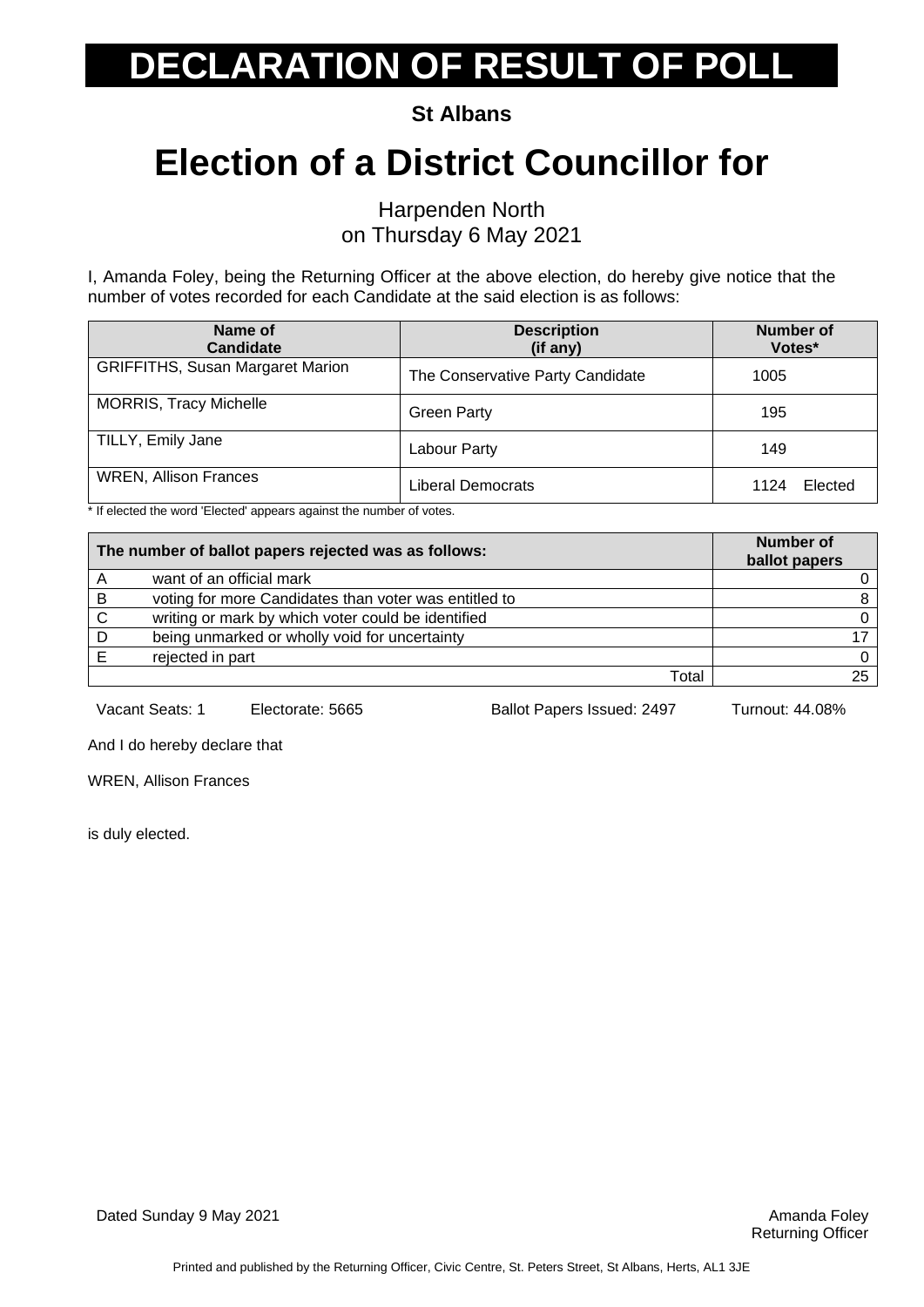**St Albans**

### **Election of a District Councillor for**

Harpenden North on Thursday 6 May 2021

I, Amanda Foley, being the Returning Officer at the above election, do hereby give notice that the number of votes recorded for each Candidate at the said election is as follows:

| Name of<br><b>Candidate</b>             | <b>Description</b><br>(if any)   | Number of<br>Votes* |
|-----------------------------------------|----------------------------------|---------------------|
| <b>GRIFFITHS, Susan Margaret Marion</b> | The Conservative Party Candidate | 1005                |
| <b>MORRIS, Tracy Michelle</b>           | <b>Green Party</b>               | 195                 |
| TILLY, Emily Jane                       | Labour Party                     | 149                 |
| <b>WREN, Allison Frances</b>            | <b>Liberal Democrats</b>         | Elected<br>1124     |

\* If elected the word 'Elected' appears against the number of votes.

| The number of ballot papers rejected was as follows: |                                                       | <b>Number of</b><br>ballot papers |
|------------------------------------------------------|-------------------------------------------------------|-----------------------------------|
|                                                      | want of an official mark                              |                                   |
| B                                                    | voting for more Candidates than voter was entitled to |                                   |
| C                                                    | writing or mark by which voter could be identified    |                                   |
|                                                      | being unmarked or wholly void for uncertainty         |                                   |
|                                                      | rejected in part                                      |                                   |
|                                                      | Total                                                 |                                   |

Vacant Seats: 1 Electorate: 5665 Ballot Papers Issued: 2497 Turnout: 44.08%

And I do hereby declare that

WREN, Allison Frances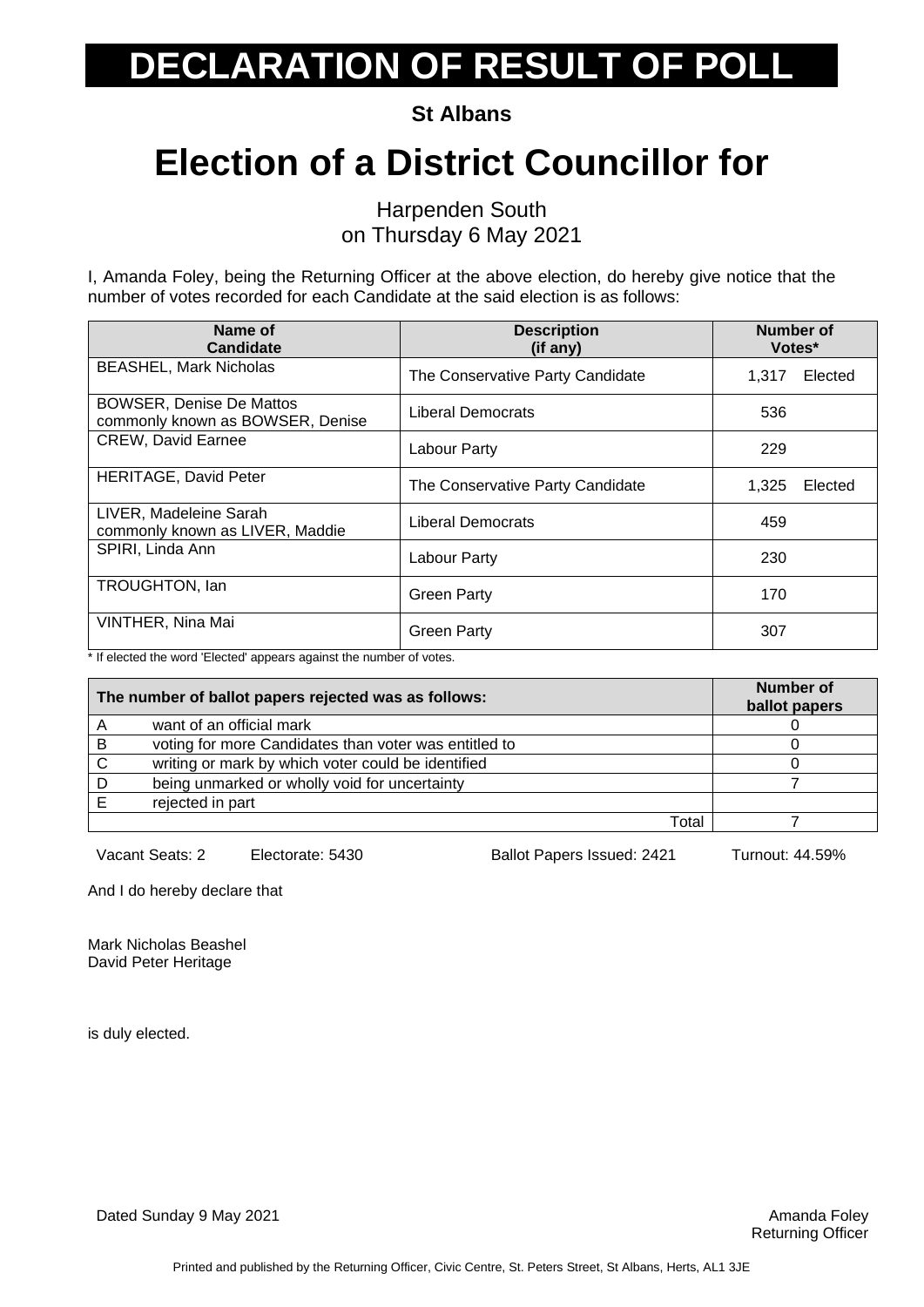**St Albans**

### **Election of a District Councillor for**

Harpenden South on Thursday 6 May 2021

I, Amanda Foley, being the Returning Officer at the above election, do hereby give notice that the number of votes recorded for each Candidate at the said election is as follows:

| Name of<br><b>Candidate</b>                                         | <b>Description</b><br>(if any)   | Number of<br>Votes* |         |
|---------------------------------------------------------------------|----------------------------------|---------------------|---------|
| <b>BEASHEL, Mark Nicholas</b>                                       | The Conservative Party Candidate | 1.317               | Elected |
| <b>BOWSER, Denise De Mattos</b><br>commonly known as BOWSER, Denise | Liberal Democrats                | 536                 |         |
| <b>CREW, David Earnee</b>                                           | Labour Party                     | 229                 |         |
| <b>HERITAGE, David Peter</b>                                        | The Conservative Party Candidate | 1,325               | Elected |
| LIVER, Madeleine Sarah<br>commonly known as LIVER, Maddie           | Liberal Democrats                | 459                 |         |
| SPIRI, Linda Ann                                                    | Labour Party                     | 230                 |         |
| TROUGHTON, Ian                                                      | <b>Green Party</b>               | 170                 |         |
| VINTHER, Nina Mai                                                   | <b>Green Party</b>               | 307                 |         |

\* If elected the word 'Elected' appears against the number of votes.

| The number of ballot papers rejected was as follows: |                                                       | Number of<br>ballot papers |
|------------------------------------------------------|-------------------------------------------------------|----------------------------|
| A                                                    | want of an official mark                              |                            |
| В                                                    | voting for more Candidates than voter was entitled to |                            |
|                                                      | writing or mark by which voter could be identified    |                            |
|                                                      | being unmarked or wholly void for uncertainty         |                            |
|                                                      | rejected in part                                      |                            |
|                                                      | Total                                                 |                            |

Vacant Seats: 2 Electorate: 5430 Ballot Papers Issued: 2421 Turnout: 44.59%

And I do hereby declare that

Mark Nicholas Beashel David Peter Heritage

is duly elected.

Dated Sunday 9 May 2021 **Amanda Foley Amanda Foley Amanda Foley Amanda Foley Amanda Foley**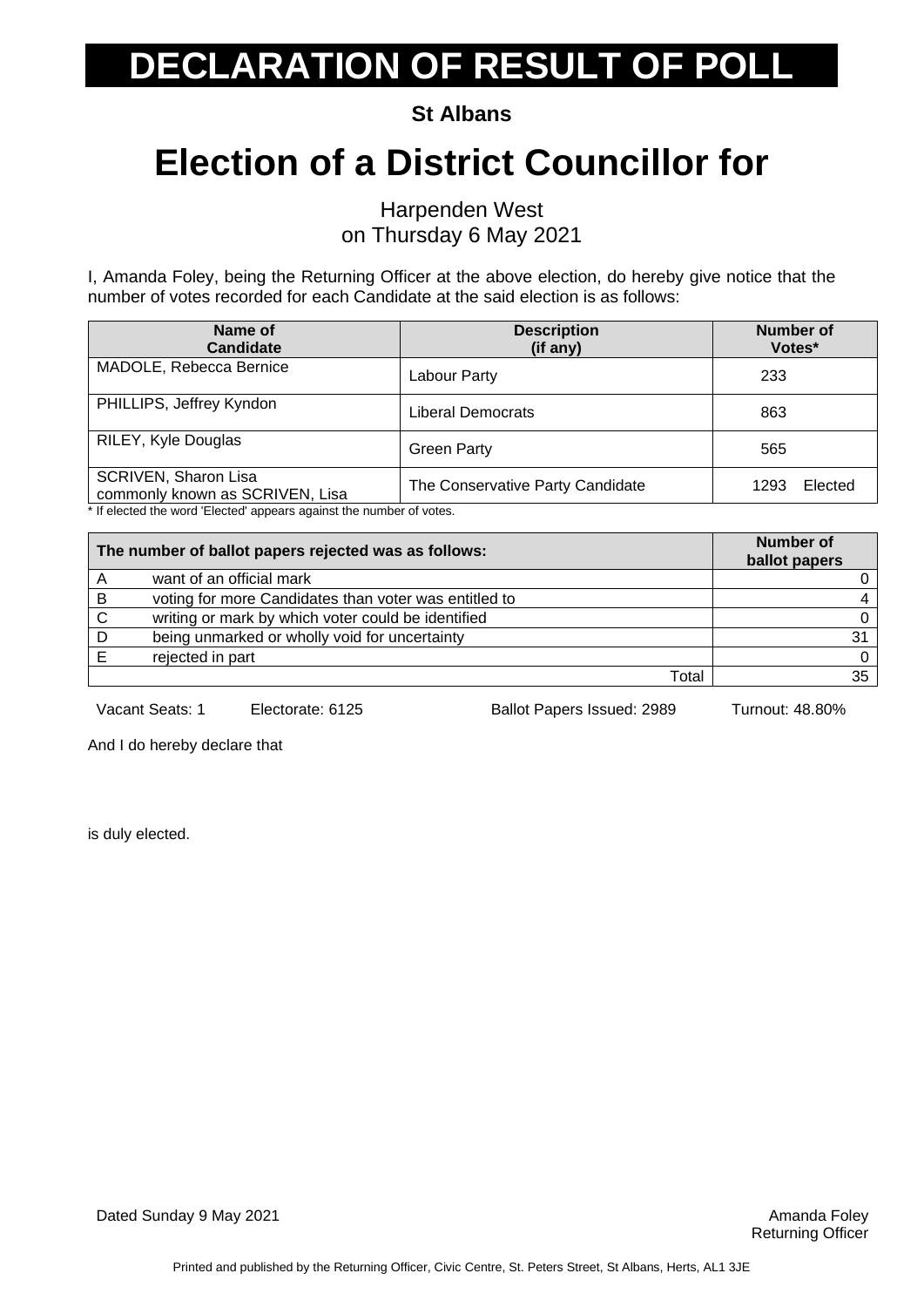**St Albans**

### **Election of a District Councillor for**

Harpenden West on Thursday 6 May 2021

I, Amanda Foley, being the Returning Officer at the above election, do hereby give notice that the number of votes recorded for each Candidate at the said election is as follows:

| Name of<br><b>Candidate</b>                                    | <b>Description</b><br>(if any)   | <b>Number of</b><br>Votes* |
|----------------------------------------------------------------|----------------------------------|----------------------------|
| MADOLE, Rebecca Bernice                                        | Labour Party                     | 233                        |
| PHILLIPS, Jeffrey Kyndon                                       | <b>Liberal Democrats</b>         | 863                        |
| RILEY, Kyle Douglas                                            | <b>Green Party</b>               | 565                        |
| <b>SCRIVEN, Sharon Lisa</b><br>commonly known as SCRIVEN, Lisa | The Conservative Party Candidate | Elected<br>1293            |

If elected the word 'Elected' appears against the number of votes.

| The number of ballot papers rejected was as follows: |                                                       | <b>Number of</b><br>ballot papers |
|------------------------------------------------------|-------------------------------------------------------|-----------------------------------|
|                                                      | want of an official mark                              | 0                                 |
| B                                                    | voting for more Candidates than voter was entitled to |                                   |
| C                                                    | writing or mark by which voter could be identified    | 0                                 |
|                                                      | being unmarked or wholly void for uncertainty         |                                   |
|                                                      | rejected in part                                      | $\Omega$                          |
|                                                      | Total                                                 | 35                                |

Vacant Seats: 1 Electorate: 6125 Ballot Papers Issued: 2989 Turnout: 48.80%

And I do hereby declare that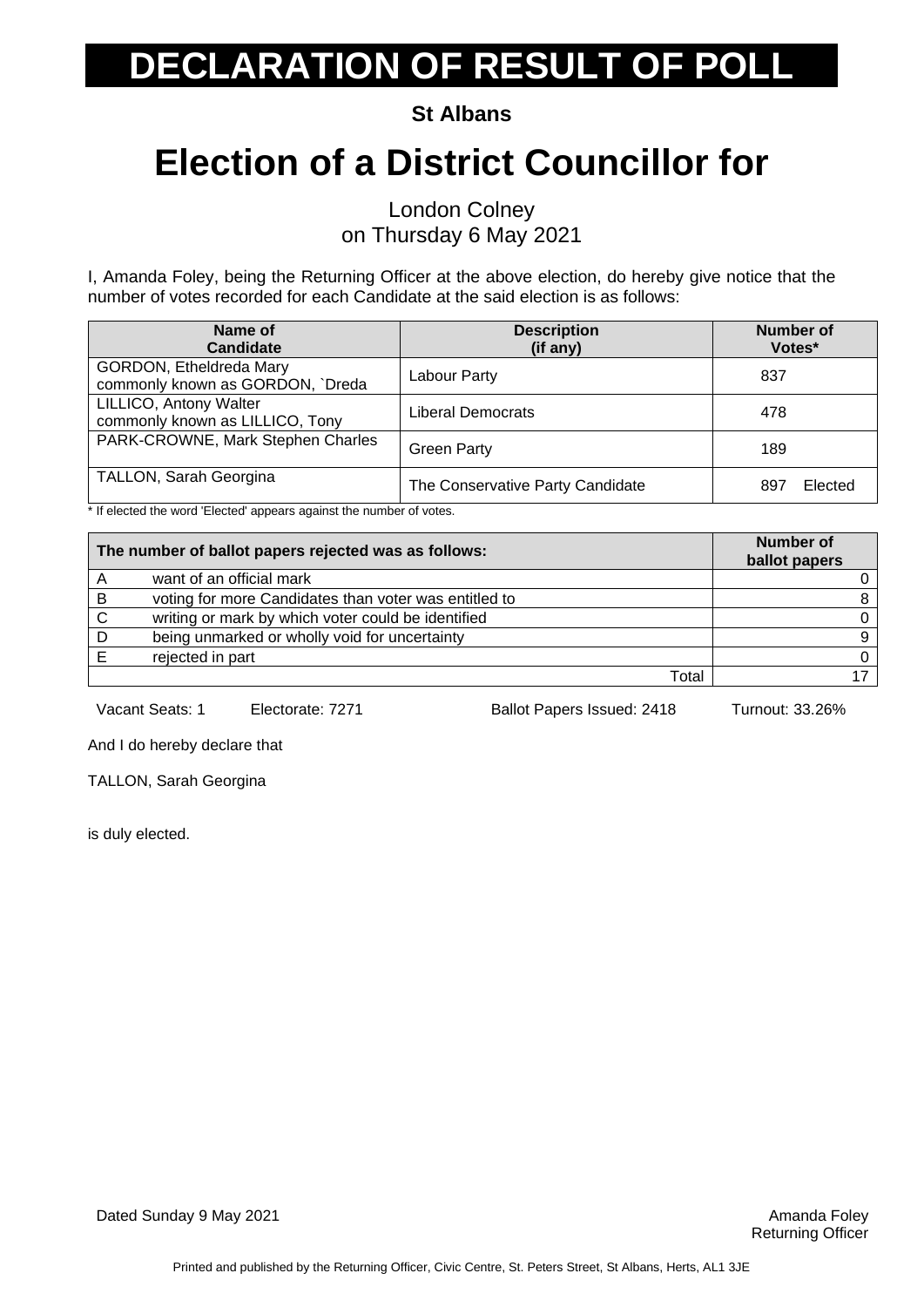**St Albans**

## **Election of a District Councillor for**

London Colney on Thursday 6 May 2021

I, Amanda Foley, being the Returning Officer at the above election, do hereby give notice that the number of votes recorded for each Candidate at the said election is as follows:

| Name of<br>Candidate                                        | <b>Description</b><br>(if any)   | <b>Number of</b><br>Votes* |
|-------------------------------------------------------------|----------------------------------|----------------------------|
| GORDON, Etheldreda Mary<br>commonly known as GORDON, `Dreda | Labour Party                     | 837                        |
| LILLICO, Antony Walter<br>commonly known as LILLICO, Tony   | Liberal Democrats                | 478                        |
| PARK-CROWNE, Mark Stephen Charles                           | <b>Green Party</b>               | 189                        |
| <b>TALLON, Sarah Georgina</b>                               | The Conservative Party Candidate | Elected<br>897             |

\* If elected the word 'Elected' appears against the number of votes.

| The number of ballot papers rejected was as follows: |                                                       | <b>Number of</b><br>ballot papers |
|------------------------------------------------------|-------------------------------------------------------|-----------------------------------|
|                                                      | want of an official mark                              |                                   |
| B                                                    | voting for more Candidates than voter was entitled to |                                   |
| C                                                    | writing or mark by which voter could be identified    |                                   |
|                                                      | being unmarked or wholly void for uncertainty         | 9                                 |
|                                                      | rejected in part                                      |                                   |
|                                                      | Total                                                 |                                   |

Vacant Seats: 1 Electorate: 7271 Ballot Papers Issued: 2418 Turnout: 33.26%

And I do hereby declare that

TALLON, Sarah Georgina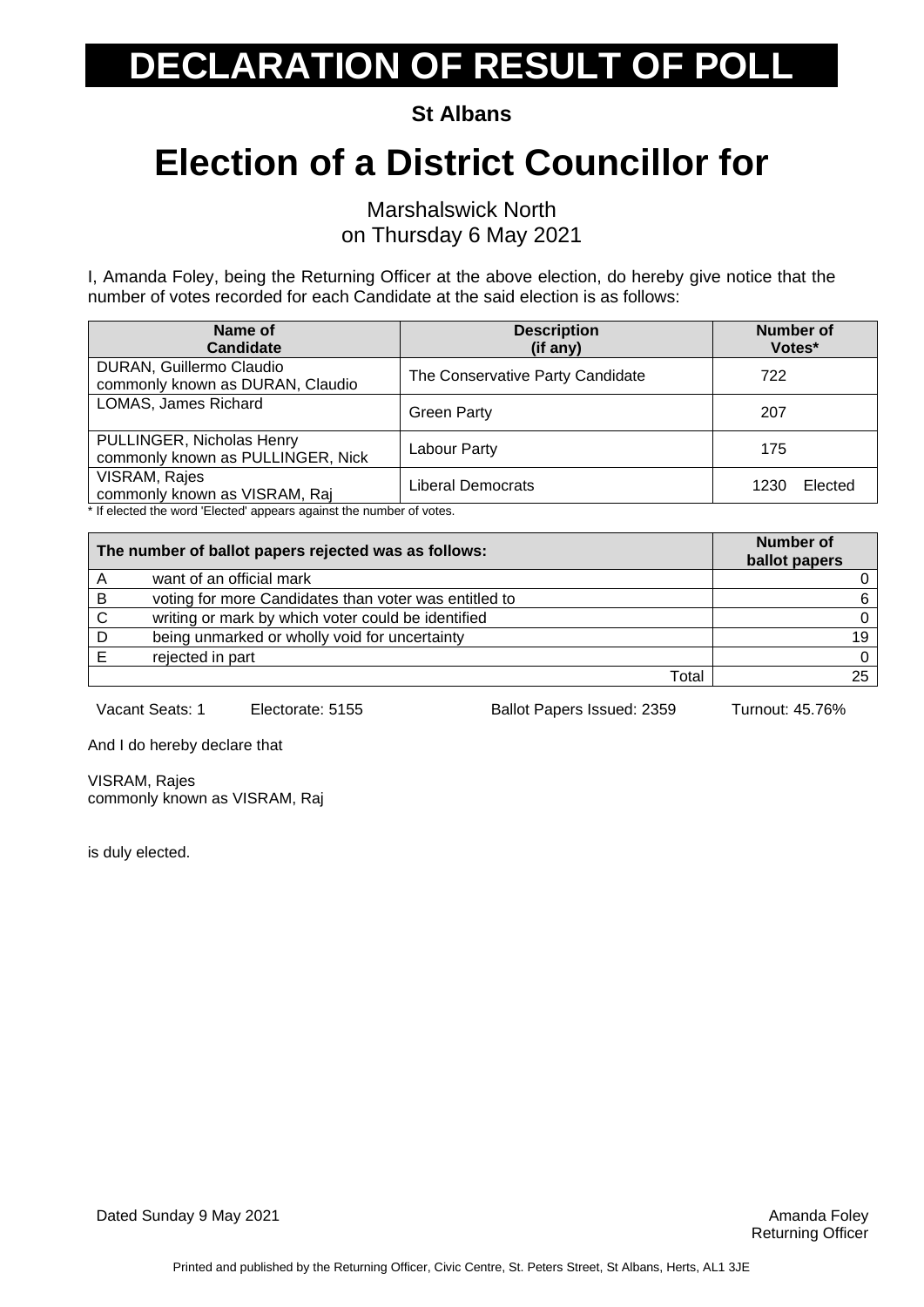**St Albans**

## **Election of a District Councillor for**

Marshalswick North on Thursday 6 May 2021

I, Amanda Foley, being the Returning Officer at the above election, do hereby give notice that the number of votes recorded for each Candidate at the said election is as follows:

| Name of<br><b>Candidate</b>                                    | <b>Description</b><br>(if any)   | <b>Number of</b><br>Votes* |
|----------------------------------------------------------------|----------------------------------|----------------------------|
| DURAN, Guillermo Claudio<br>commonly known as DURAN, Claudio   | The Conservative Party Candidate | 722                        |
| LOMAS, James Richard                                           | <b>Green Party</b>               | 207                        |
| PULLINGER, Nicholas Henry<br>commonly known as PULLINGER, Nick | Labour Party                     | 175                        |
| VISRAM, Rajes<br>commonly known as VISRAM, Raj                 | Liberal Democrats                | Elected<br>1230            |

\* If elected the word 'Elected' appears against the number of votes.

| The number of ballot papers rejected was as follows: |                                                       | <b>Number of</b><br>ballot papers |
|------------------------------------------------------|-------------------------------------------------------|-----------------------------------|
|                                                      | want of an official mark                              |                                   |
| в                                                    | voting for more Candidates than voter was entitled to | 6                                 |
| C                                                    | writing or mark by which voter could be identified    |                                   |
|                                                      | being unmarked or wholly void for uncertainty         | 19                                |
|                                                      | rejected in part                                      |                                   |
|                                                      | Total                                                 |                                   |

Vacant Seats: 1 Electorate: 5155 Ballot Papers Issued: 2359 Turnout: 45.76%

And I do hereby declare that

VISRAM, Rajes commonly known as VISRAM, Raj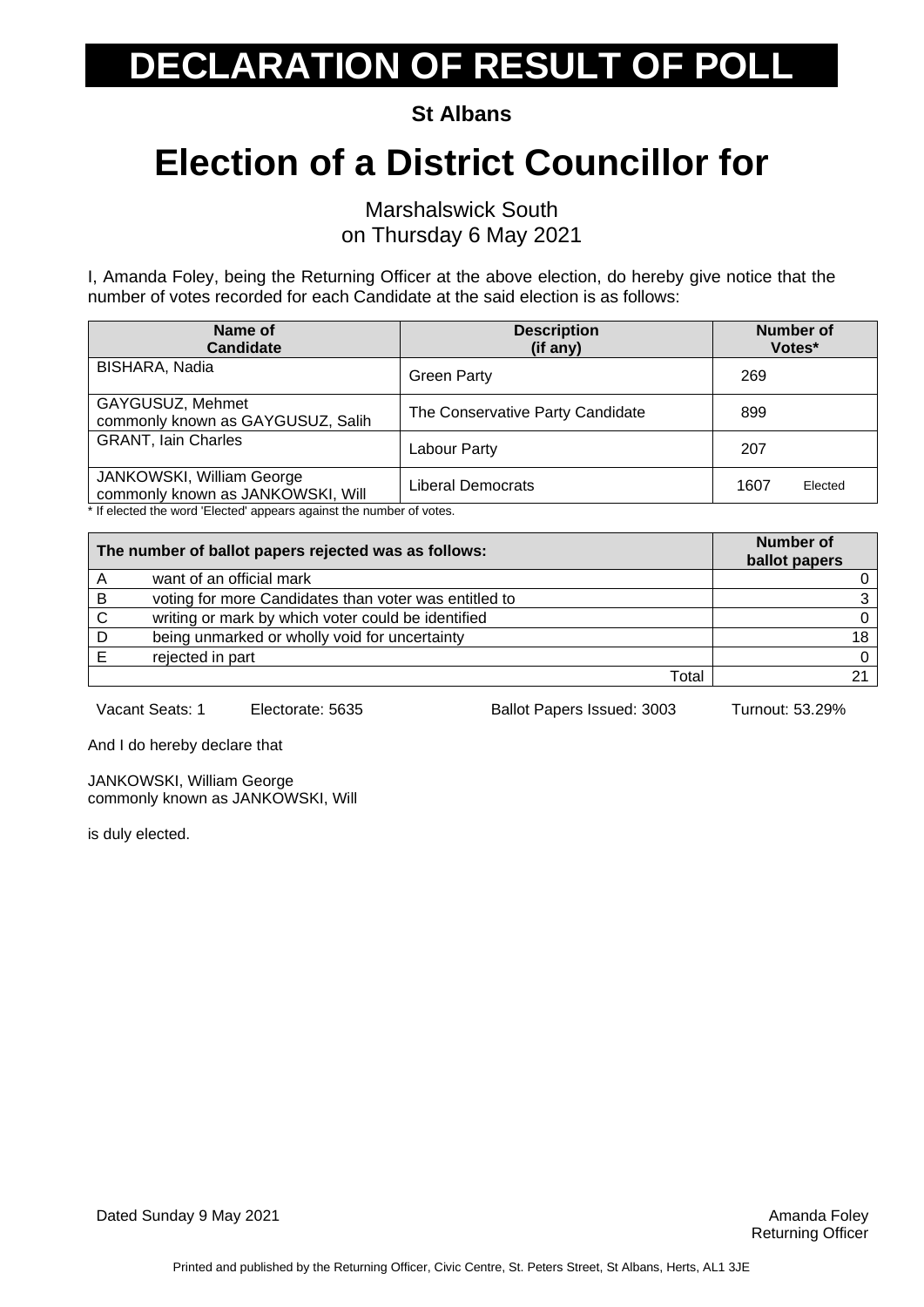**St Albans**

## **Election of a District Councillor for**

Marshalswick South on Thursday 6 May 2021

I, Amanda Foley, being the Returning Officer at the above election, do hereby give notice that the number of votes recorded for each Candidate at the said election is as follows:

| Name of<br><b>Candidate</b>                                    | <b>Description</b><br>(if any)   | <b>Number of</b><br>Votes* |
|----------------------------------------------------------------|----------------------------------|----------------------------|
| <b>BISHARA, Nadia</b>                                          | <b>Green Party</b>               | 269                        |
| GAYGUSUZ, Mehmet<br>commonly known as GAYGUSUZ, Salih          | The Conservative Party Candidate | 899                        |
| <b>GRANT, Iain Charles</b>                                     | Labour Party                     | 207                        |
| JANKOWSKI, William George<br>commonly known as JANKOWSKI, Will | Liberal Democrats                | 1607<br>Elected            |

If elected the word 'Elected' appears against the number of votes.

| The number of ballot papers rejected was as follows: |                                                       | <b>Number of</b><br>ballot papers |
|------------------------------------------------------|-------------------------------------------------------|-----------------------------------|
|                                                      | want of an official mark                              | 0                                 |
| B                                                    | voting for more Candidates than voter was entitled to | 3                                 |
| C                                                    | writing or mark by which voter could be identified    | 0                                 |
|                                                      | being unmarked or wholly void for uncertainty         | 18                                |
|                                                      | rejected in part                                      | 0                                 |
|                                                      | Total                                                 |                                   |

Vacant Seats: 1 Electorate: 5635 Ballot Papers Issued: 3003 Turnout: 53.29%

And I do hereby declare that

JANKOWSKI, William George commonly known as JANKOWSKI, Will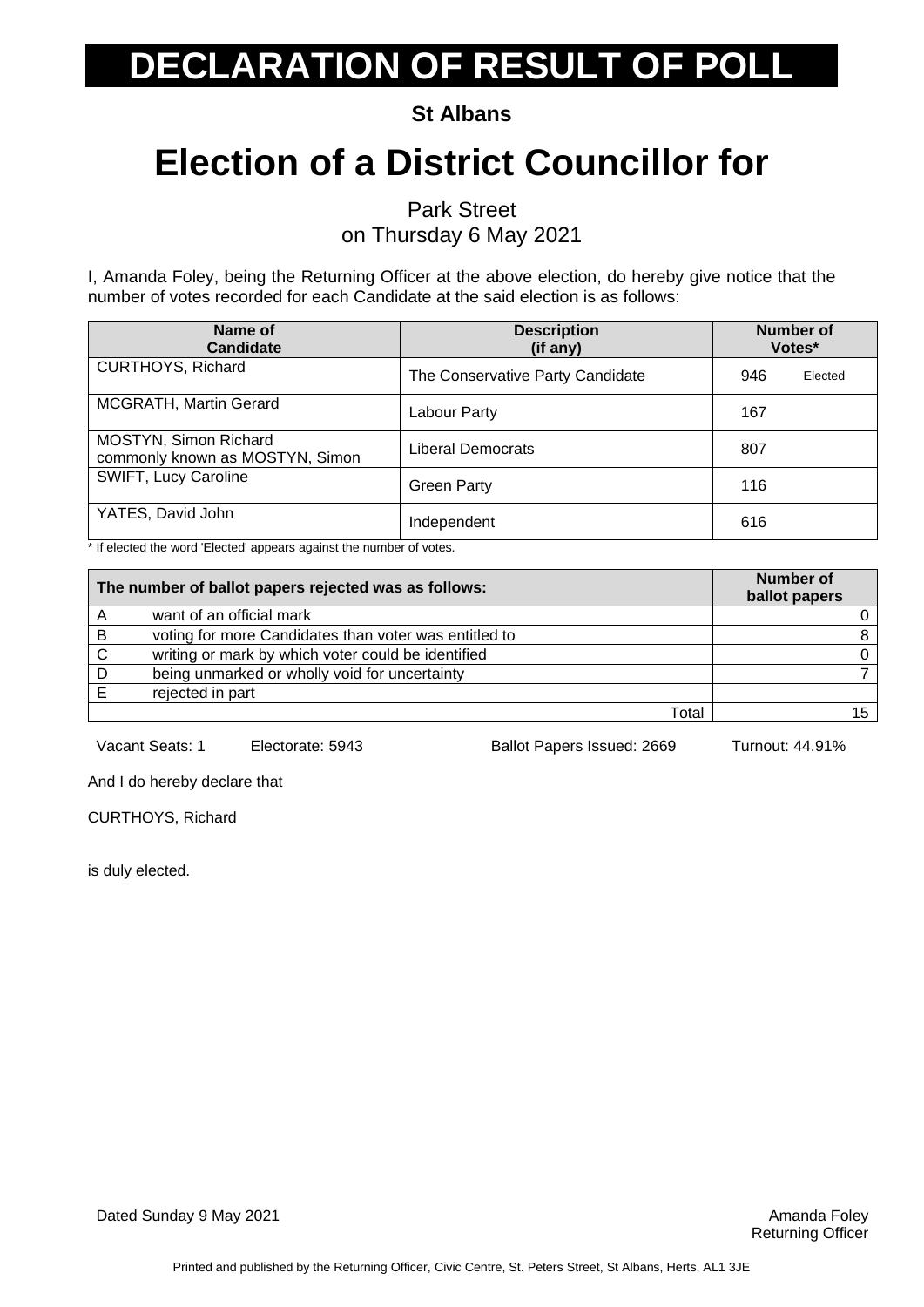**St Albans**

## **Election of a District Councillor for**

Park Street

on Thursday 6 May 2021

I, Amanda Foley, being the Returning Officer at the above election, do hereby give notice that the number of votes recorded for each Candidate at the said election is as follows:

| Name of<br><b>Candidate</b>                              | <b>Description</b><br>(if any)   | <b>Number of</b><br>Votes* |
|----------------------------------------------------------|----------------------------------|----------------------------|
| <b>CURTHOYS, Richard</b>                                 | The Conservative Party Candidate | 946<br>Elected             |
| MCGRATH, Martin Gerard                                   | Labour Party                     | 167                        |
| MOSTYN, Simon Richard<br>commonly known as MOSTYN, Simon | Liberal Democrats                | 807                        |
| SWIFT, Lucy Caroline                                     | <b>Green Party</b>               | 116                        |
| YATES, David John                                        | Independent                      | 616                        |

\* If elected the word 'Elected' appears against the number of votes.

| The number of ballot papers rejected was as follows: |                                                       | Number of<br>ballot papers |
|------------------------------------------------------|-------------------------------------------------------|----------------------------|
|                                                      | want of an official mark                              |                            |
| B                                                    | voting for more Candidates than voter was entitled to |                            |
| C                                                    | writing or mark by which voter could be identified    |                            |
|                                                      | being unmarked or wholly void for uncertainty         |                            |
|                                                      | rejected in part                                      |                            |
|                                                      | Total                                                 |                            |

Vacant Seats: 1 Electorate: 5943 Ballot Papers Issued: 2669 Turnout: 44.91%

And I do hereby declare that

CURTHOYS, Richard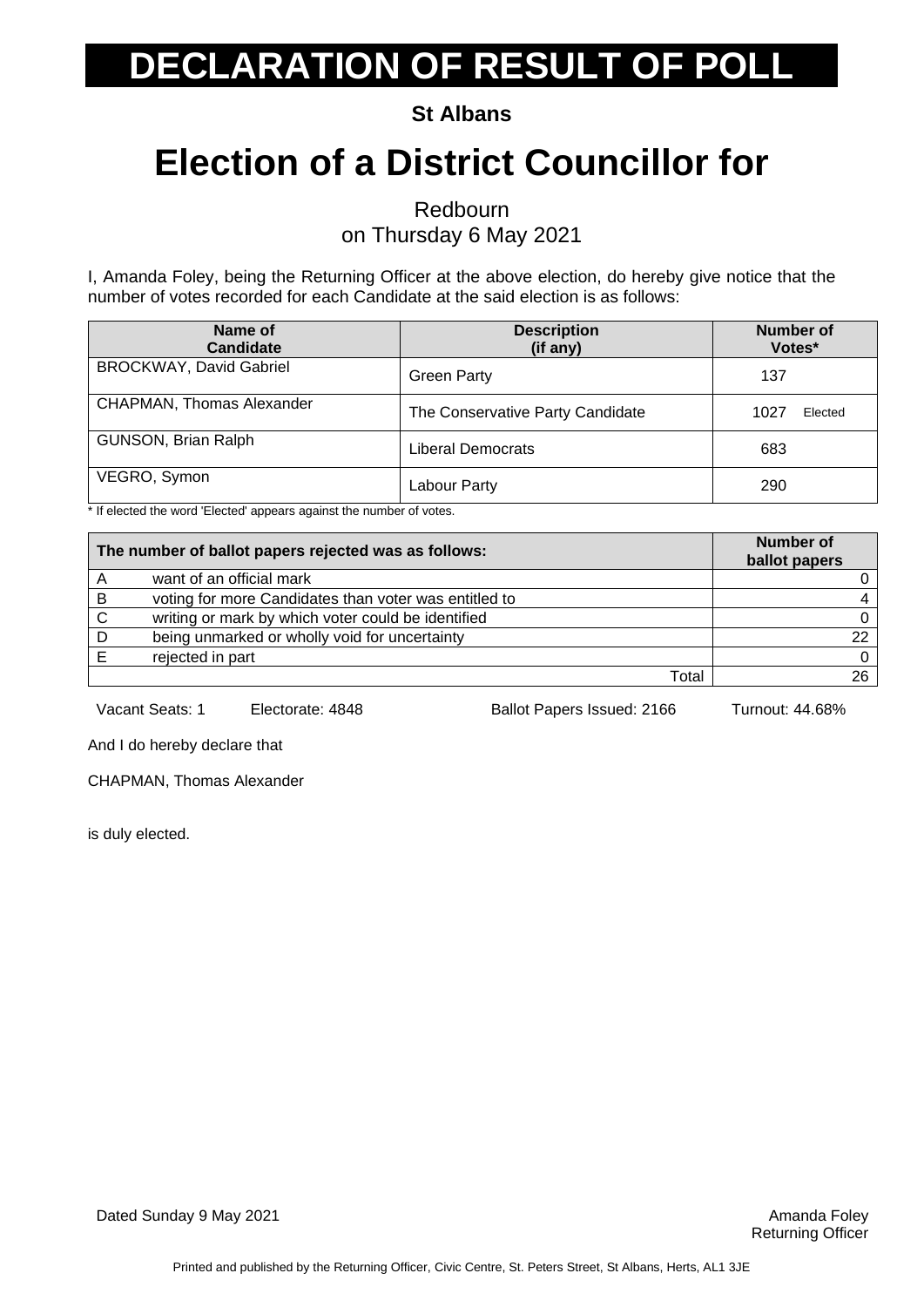**St Albans**

## **Election of a District Councillor for**

Redbourn

on Thursday 6 May 2021

I, Amanda Foley, being the Returning Officer at the above election, do hereby give notice that the number of votes recorded for each Candidate at the said election is as follows:

| Name of<br>Candidate             | <b>Description</b><br>(if any)   | Number of<br>Votes* |
|----------------------------------|----------------------------------|---------------------|
| <b>BROCKWAY, David Gabriel</b>   | <b>Green Party</b>               | 137                 |
| <b>CHAPMAN, Thomas Alexander</b> | The Conservative Party Candidate | Elected<br>1027     |
| GUNSON, Brian Ralph              | Liberal Democrats                | 683                 |
| VEGRO, Symon                     | Labour Party                     | 290                 |

\* If elected the word 'Elected' appears against the number of votes.

| The number of ballot papers rejected was as follows: |                                                       | <b>Number of</b><br>ballot papers |
|------------------------------------------------------|-------------------------------------------------------|-----------------------------------|
|                                                      | want of an official mark                              |                                   |
| B                                                    | voting for more Candidates than voter was entitled to |                                   |
| C                                                    | writing or mark by which voter could be identified    | 0                                 |
|                                                      | being unmarked or wholly void for uncertainty         | 22                                |
|                                                      | rejected in part                                      | 0                                 |
|                                                      | Total                                                 | 26                                |

Vacant Seats: 1 Electorate: 4848 Ballot Papers Issued: 2166 Turnout: 44.68%

And I do hereby declare that

CHAPMAN, Thomas Alexander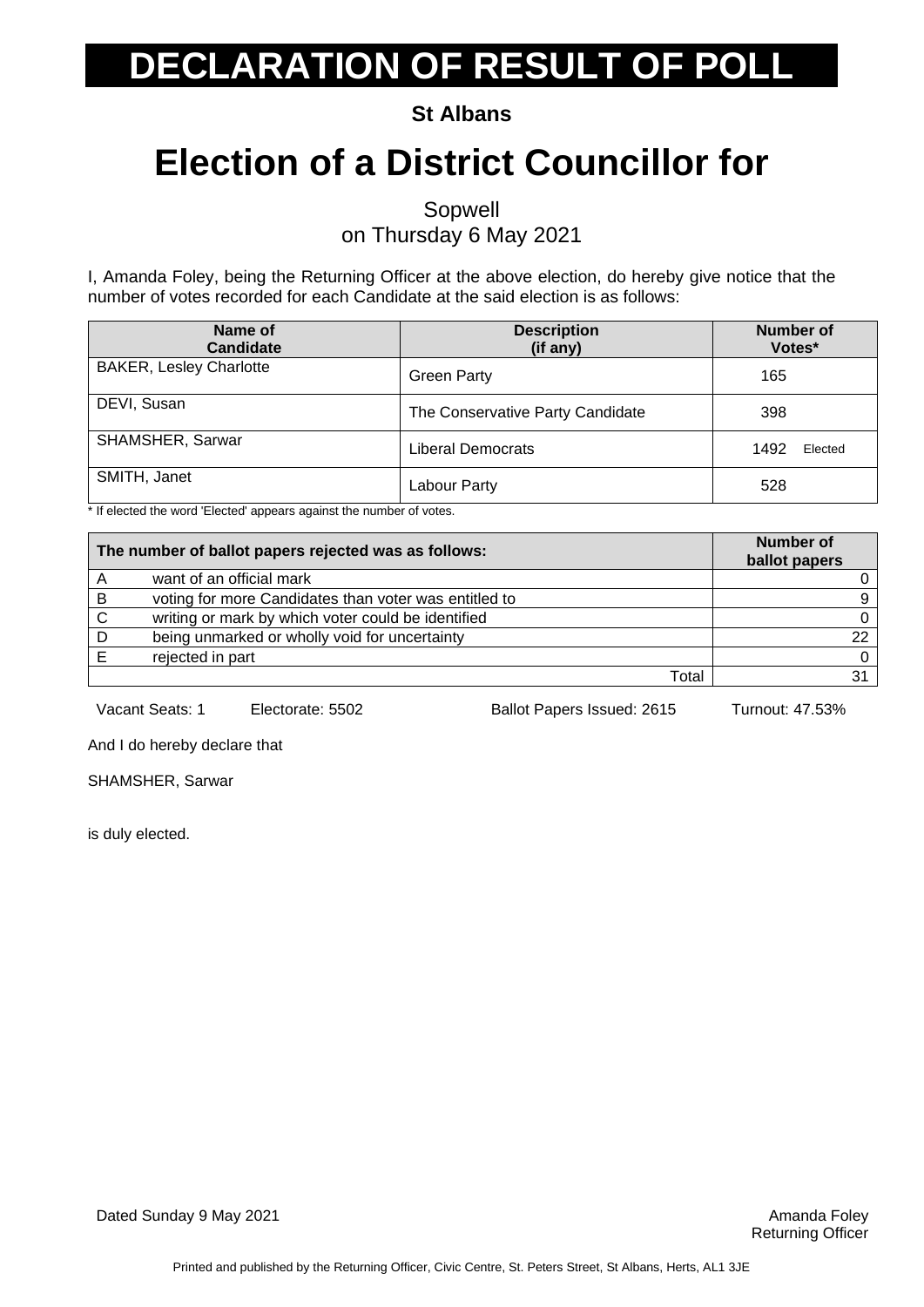**St Albans**

## **Election of a District Councillor for**

Sopwell

on Thursday 6 May 2021

I, Amanda Foley, being the Returning Officer at the above election, do hereby give notice that the number of votes recorded for each Candidate at the said election is as follows:

| Name of<br><b>Candidate</b>    | <b>Description</b><br>(if any)   | <b>Number of</b><br>Votes* |
|--------------------------------|----------------------------------|----------------------------|
| <b>BAKER, Lesley Charlotte</b> | <b>Green Party</b>               | 165                        |
| DEVI, Susan                    | The Conservative Party Candidate | 398                        |
| SHAMSHER, Sarwar               | <b>Liberal Democrats</b>         | 1492<br>Elected            |
| SMITH, Janet                   | Labour Party                     | 528                        |

\* If elected the word 'Elected' appears against the number of votes.

| The number of ballot papers rejected was as follows: |                                                       | <b>Number of</b><br>ballot papers |
|------------------------------------------------------|-------------------------------------------------------|-----------------------------------|
|                                                      | want of an official mark                              |                                   |
| B                                                    | voting for more Candidates than voter was entitled to | 9                                 |
| C                                                    | writing or mark by which voter could be identified    | 0                                 |
|                                                      | being unmarked or wholly void for uncertainty         | 22                                |
|                                                      | rejected in part                                      | 0                                 |
|                                                      | Total                                                 |                                   |

Vacant Seats: 1 Electorate: 5502 Ballot Papers Issued: 2615 Turnout: 47.53%

And I do hereby declare that

SHAMSHER, Sarwar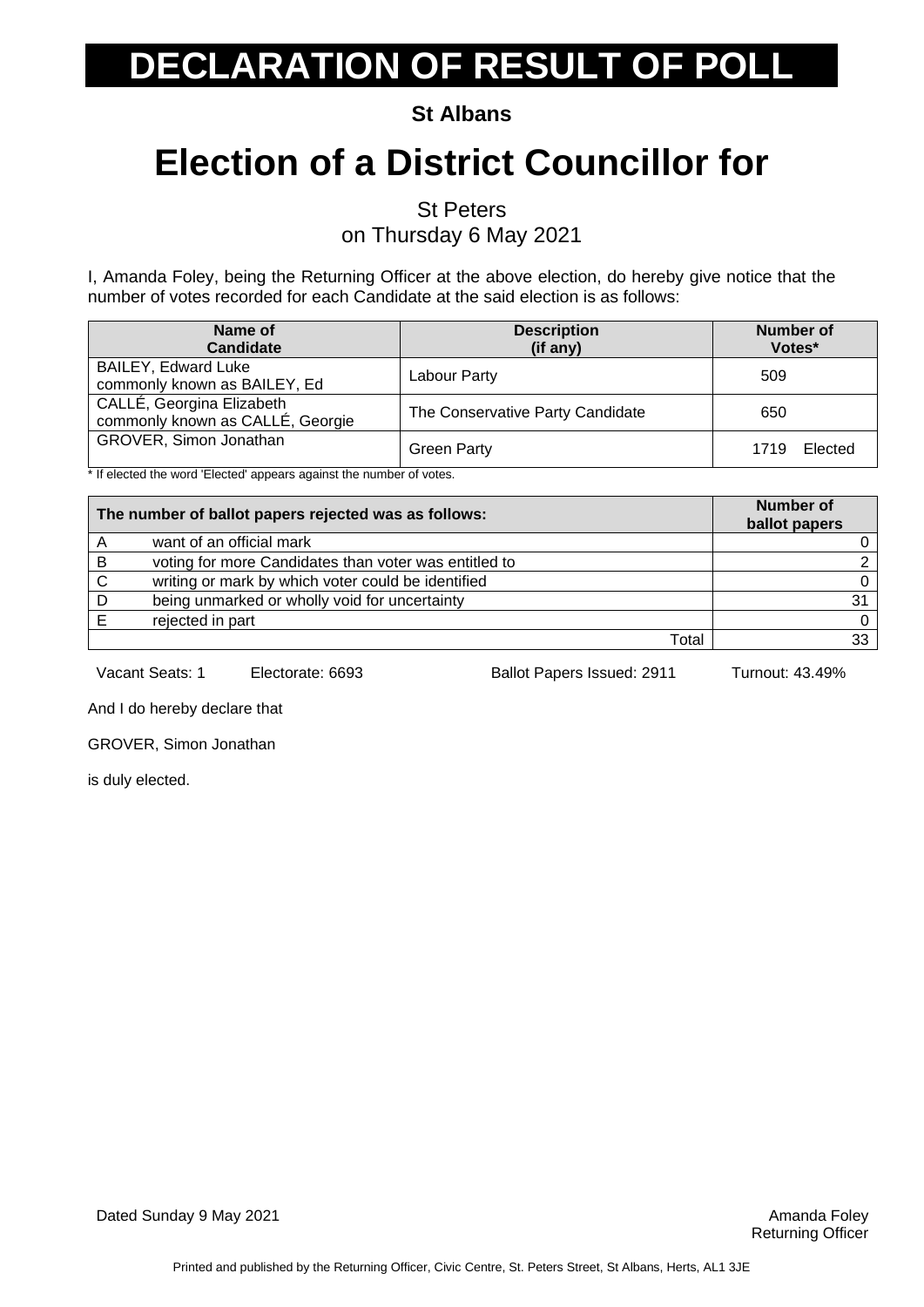**St Albans**

## **Election of a District Councillor for**

St Peters

on Thursday 6 May 2021

I, Amanda Foley, being the Returning Officer at the above election, do hereby give notice that the number of votes recorded for each Candidate at the said election is as follows:

| Name of<br><b>Candidate</b>                                   | <b>Description</b><br>(if any)   | <b>Number of</b><br>Votes* |
|---------------------------------------------------------------|----------------------------------|----------------------------|
| <b>BAILEY, Edward Luke</b><br>commonly known as BAILEY, Ed    | Labour Party                     | 509                        |
| CALLÉ, Georgina Elizabeth<br>commonly known as CALLÉ, Georgie | The Conservative Party Candidate | 650                        |
| GROVER, Simon Jonathan                                        | <b>Green Party</b>               | Elected<br>1719            |

\* If elected the word 'Elected' appears against the number of votes.

| The number of ballot papers rejected was as follows: |                                                       | <b>Number of</b><br>ballot papers |
|------------------------------------------------------|-------------------------------------------------------|-----------------------------------|
|                                                      | want of an official mark                              |                                   |
| B                                                    | voting for more Candidates than voter was entitled to |                                   |
| C                                                    | writing or mark by which voter could be identified    |                                   |
|                                                      | being unmarked or wholly void for uncertainty         | 31                                |
|                                                      | rejected in part                                      |                                   |
|                                                      | Total                                                 |                                   |

Vacant Seats: 1 Electorate: 6693 Ballot Papers Issued: 2911 Turnout: 43.49%

And I do hereby declare that

GROVER, Simon Jonathan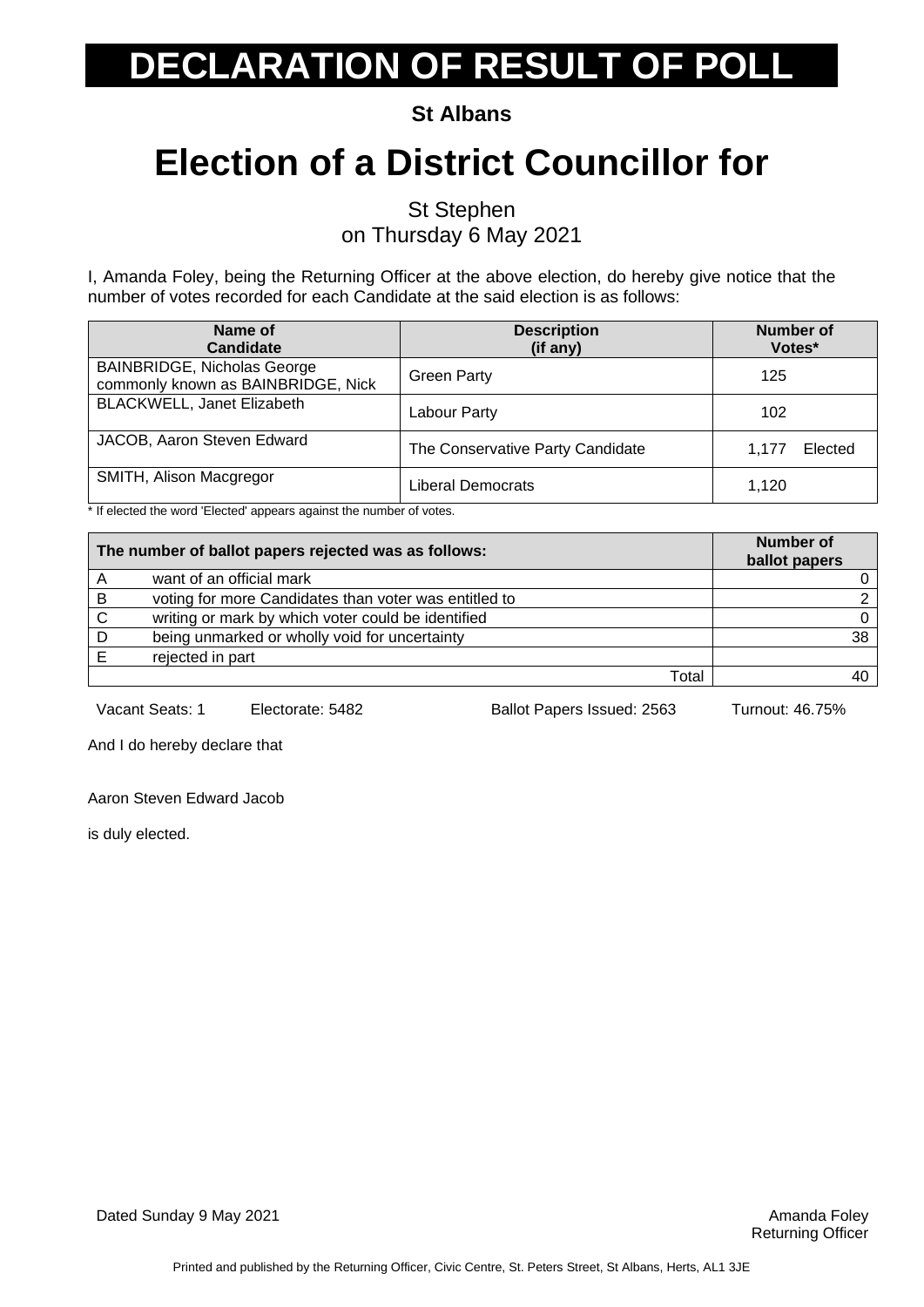**St Albans**

## **Election of a District Councillor for**

St Stephen on Thursday 6 May 2021

I, Amanda Foley, being the Returning Officer at the above election, do hereby give notice that the number of votes recorded for each Candidate at the said election is as follows:

| Name of<br><b>Candidate</b>                                              | <b>Description</b><br>(if any)   | <b>Number of</b><br>Votes* |
|--------------------------------------------------------------------------|----------------------------------|----------------------------|
| <b>BAINBRIDGE, Nicholas George</b><br>commonly known as BAINBRIDGE, Nick | <b>Green Party</b>               | 125                        |
| <b>BLACKWELL, Janet Elizabeth</b>                                        | Labour Party                     | 102                        |
| JACOB, Aaron Steven Edward                                               | The Conservative Party Candidate | Elected<br>1.177           |
| SMITH, Alison Macgregor                                                  | Liberal Democrats                | 1,120                      |

\* If elected the word 'Elected' appears against the number of votes.

| The number of ballot papers rejected was as follows: |                                                       | <b>Number of</b><br>ballot papers |
|------------------------------------------------------|-------------------------------------------------------|-----------------------------------|
|                                                      | want of an official mark                              |                                   |
| B                                                    | voting for more Candidates than voter was entitled to |                                   |
| C                                                    | writing or mark by which voter could be identified    | 0                                 |
|                                                      | being unmarked or wholly void for uncertainty         | 38                                |
|                                                      | rejected in part                                      |                                   |
|                                                      | Total                                                 |                                   |

Vacant Seats: 1 Electorate: 5482 Ballot Papers Issued: 2563 Turnout: 46.75%

And I do hereby declare that

Aaron Steven Edward Jacob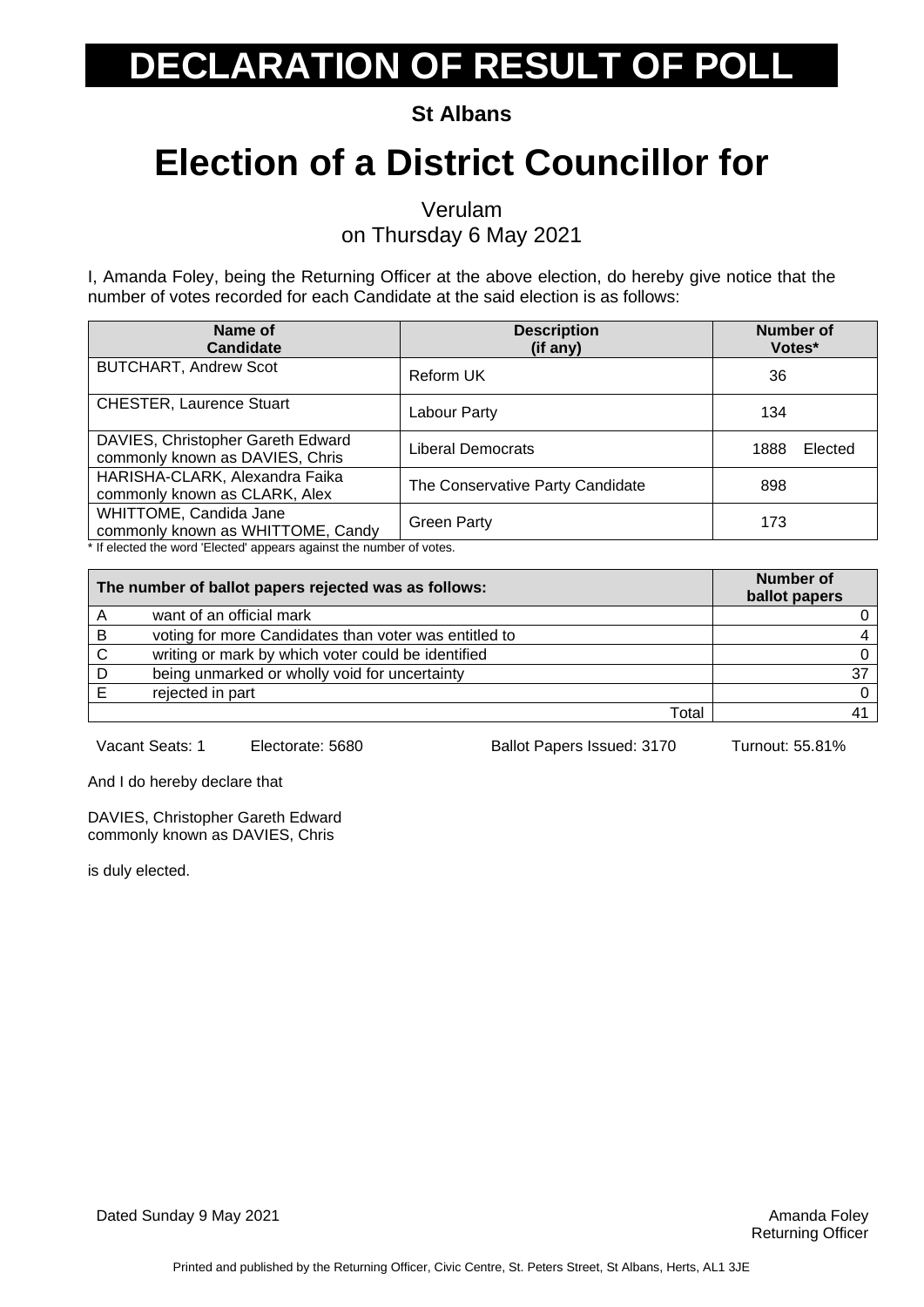**St Albans**

## **Election of a District Councillor for**

Verulam

on Thursday 6 May 2021

I, Amanda Foley, being the Returning Officer at the above election, do hereby give notice that the number of votes recorded for each Candidate at the said election is as follows:

| Name of<br><b>Candidate</b>                                                                                                          | <b>Description</b><br>(if any)   | Number of<br>Votes* |
|--------------------------------------------------------------------------------------------------------------------------------------|----------------------------------|---------------------|
| <b>BUTCHART, Andrew Scot</b>                                                                                                         | Reform UK                        | 36                  |
| <b>CHESTER, Laurence Stuart</b>                                                                                                      | Labour Party                     | 134                 |
| DAVIES, Christopher Gareth Edward<br>commonly known as DAVIES, Chris                                                                 | Liberal Democrats                | Elected<br>1888     |
| HARISHA-CLARK, Alexandra Faika<br>commonly known as CLARK, Alex                                                                      | The Conservative Party Candidate | 898                 |
| WHITTOME, Candida Jane<br>commonly known as WHITTOME, Candy<br>t If also to discussed 'Elected' concern conjunt the number of ustant | <b>Green Party</b>               | 173                 |

If elected the word 'Elected' appears against the number of votes.

|   | The number of ballot papers rejected was as follows:  | Number of<br>ballot papers |
|---|-------------------------------------------------------|----------------------------|
|   | want of an official mark                              |                            |
| B | voting for more Candidates than voter was entitled to |                            |
| C | writing or mark by which voter could be identified    |                            |
|   | being unmarked or wholly void for uncertainty         | 37                         |
|   | rejected in part                                      |                            |
|   | Total                                                 |                            |

Vacant Seats: 1 Electorate: 5680 Ballot Papers Issued: 3170 Turnout: 55.81%

And I do hereby declare that

DAVIES, Christopher Gareth Edward commonly known as DAVIES, Chris